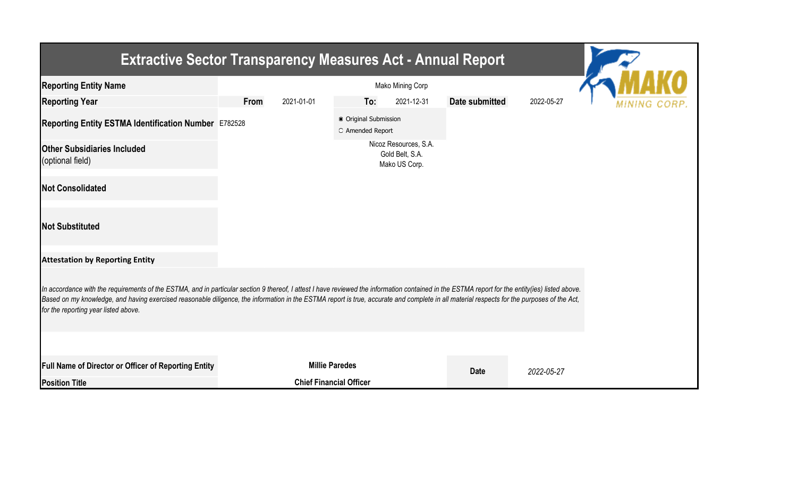| <b>Extractive Sector Transparency Measures Act - Annual Report</b>                                                                                                                                                                                                                                                                                                                                                                    |                                           |            |                                |                                                           |                |            |  |  |  |  |
|---------------------------------------------------------------------------------------------------------------------------------------------------------------------------------------------------------------------------------------------------------------------------------------------------------------------------------------------------------------------------------------------------------------------------------------|-------------------------------------------|------------|--------------------------------|-----------------------------------------------------------|----------------|------------|--|--|--|--|
| <b>Reporting Entity Name</b>                                                                                                                                                                                                                                                                                                                                                                                                          |                                           |            |                                |                                                           |                |            |  |  |  |  |
| <b>Reporting Year</b>                                                                                                                                                                                                                                                                                                                                                                                                                 | From                                      | 2021-01-01 | To:                            | 2021-12-31                                                | Date submitted | 2022-05-27 |  |  |  |  |
| Reporting Entity ESTMA Identification Number E782528                                                                                                                                                                                                                                                                                                                                                                                  | ● Original Submission<br>O Amended Report |            |                                |                                                           |                |            |  |  |  |  |
| <b>Other Subsidiaries Included</b><br>(optional field)                                                                                                                                                                                                                                                                                                                                                                                |                                           |            |                                | Nicoz Resources, S.A.<br>Gold Belt, S.A.<br>Mako US Corp. |                |            |  |  |  |  |
| <b>Not Consolidated</b>                                                                                                                                                                                                                                                                                                                                                                                                               |                                           |            |                                |                                                           |                |            |  |  |  |  |
| <b>Not Substituted</b>                                                                                                                                                                                                                                                                                                                                                                                                                |                                           |            |                                |                                                           |                |            |  |  |  |  |
| <b>Attestation by Reporting Entity</b>                                                                                                                                                                                                                                                                                                                                                                                                |                                           |            |                                |                                                           |                |            |  |  |  |  |
| In accordance with the requirements of the ESTMA, and in particular section 9 thereof, I attest I have reviewed the information contained in the ESTMA report for the entity(ies) listed above.<br>Based on my knowledge, and having exercised reasonable diligence, the information in the ESTMA report is true, accurate and complete in all material respects for the purposes of the Act,<br>for the reporting year listed above. |                                           |            |                                |                                                           |                |            |  |  |  |  |
|                                                                                                                                                                                                                                                                                                                                                                                                                                       |                                           |            |                                |                                                           |                |            |  |  |  |  |
| <b>Full Name of Director or Officer of Reporting Entity</b>                                                                                                                                                                                                                                                                                                                                                                           |                                           |            | <b>Millie Paredes</b>          |                                                           | <b>Date</b>    | 2022-05-27 |  |  |  |  |
| <b>Position Title</b>                                                                                                                                                                                                                                                                                                                                                                                                                 |                                           |            | <b>Chief Financial Officer</b> |                                                           |                |            |  |  |  |  |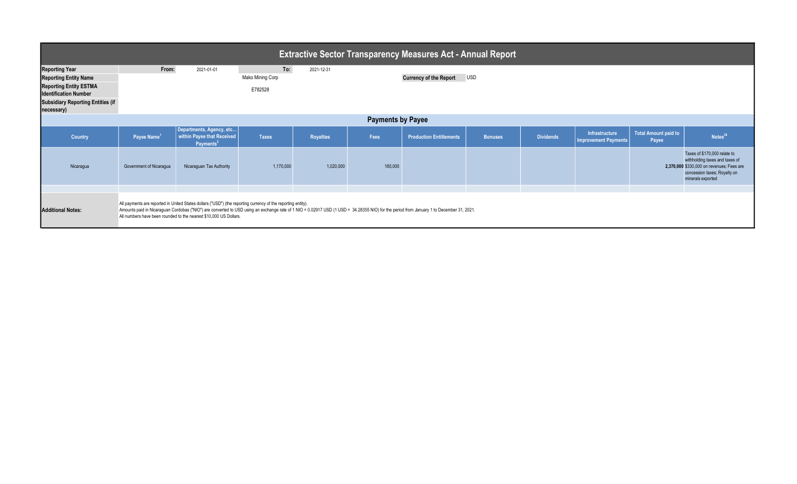| <b>Extractive Sector Transparency Measures Act - Annual Report</b>                                                     |                         |                                                                                                                                                                                                                                                                                                                                                                                |                                    |                  |         |                                |                |                  |                                               |                               |                                                                                                                                                                  |
|------------------------------------------------------------------------------------------------------------------------|-------------------------|--------------------------------------------------------------------------------------------------------------------------------------------------------------------------------------------------------------------------------------------------------------------------------------------------------------------------------------------------------------------------------|------------------------------------|------------------|---------|--------------------------------|----------------|------------------|-----------------------------------------------|-------------------------------|------------------------------------------------------------------------------------------------------------------------------------------------------------------|
| <b>Reporting Year</b><br><b>Reporting Entity Name</b><br><b>Reporting Entity ESTMA</b><br><b>Identification Number</b> | From:                   | 2021-01-01                                                                                                                                                                                                                                                                                                                                                                     | To:<br>Mako Mining Corp<br>E782528 | 2021-12-31       |         | <b>Currency of the Report</b>  | <b>USD</b>     |                  |                                               |                               |                                                                                                                                                                  |
| <b>Subsidiary Reporting Entities (if</b><br>necessary)                                                                 |                         |                                                                                                                                                                                                                                                                                                                                                                                |                                    |                  |         |                                |                |                  |                                               |                               |                                                                                                                                                                  |
| <b>Payments by Payee</b>                                                                                               |                         |                                                                                                                                                                                                                                                                                                                                                                                |                                    |                  |         |                                |                |                  |                                               |                               |                                                                                                                                                                  |
| Country                                                                                                                | Payee Name <sup>1</sup> | Departments, Agency, etc<br>within Payee that Received<br>Payments <sup>2</sup>                                                                                                                                                                                                                                                                                                | <b>Taxes</b>                       | <b>Royalties</b> | Fees    | <b>Production Entitlements</b> | <b>Bonuses</b> | <b>Dividends</b> | Infrastructure<br><b>Improvement Payments</b> | Total Amount paid to<br>Payee | Notes <sup>34</sup>                                                                                                                                              |
| Nicaragua                                                                                                              | Government of Nicaragua | Nicaraguan Tax Authority                                                                                                                                                                                                                                                                                                                                                       | 1,170,000                          | 1,020,000        | 180,000 |                                |                |                  |                                               |                               | Taxes of \$170,000 relate to<br>withholding taxes and taxes of<br>2,370,000 \$330,000 on revenues; Fees are<br>concession taxes; Royalty on<br>minerals exported |
|                                                                                                                        |                         |                                                                                                                                                                                                                                                                                                                                                                                |                                    |                  |         |                                |                |                  |                                               |                               |                                                                                                                                                                  |
| <b>Additional Notes:</b>                                                                                               |                         | All payments are reported in United States dollars ("USD") (the reporting currency of the reporting entity).<br>Amounts paid in Nicaraguan Cordobas ("NIO") are converted to USD using an exchange rate of 1 NIO = 0.02917 USD (1 USD = 34.28355 NIO) for the period from January 1 to December 31, 2021.<br>All numbers have been rounded to the nearest \$10,000 US Dollars. |                                    |                  |         |                                |                |                  |                                               |                               |                                                                                                                                                                  |